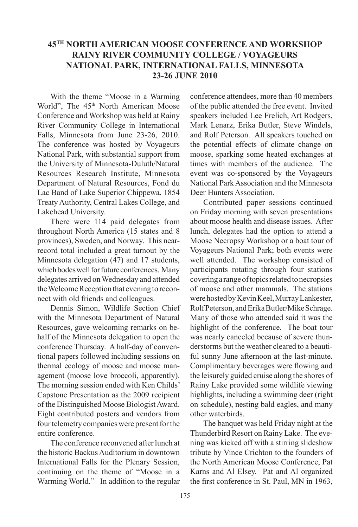## **45TH NORTH AMERICAN MOOSE CONFERENCE AND WORKSHOP RAINY RIVER COMMUNITY COLLEGE / VOYAGEURS NATIONAL PARK, INTERNATIONAL FALLS, MINNESOTA 23-26 JUNE 2010**

With the theme "Moose in a Warming World", The 45<sup>th</sup> North American Moose Conference and Workshop was held at Rainy River Community College in International Falls, Minnesota from June 23-26, 2010. The conference was hosted by Voyageurs National Park, with substantial support from the University of Minnesota-Duluth/Natural Resources Research Institute, Minnesota Department of Natural Resources, Fond du Lac Band of Lake Superior Chippewa, 1854 Treaty Authority, Central Lakes College, and Lakehead University.

There were 114 paid delegates from throughout North America (15 states and 8 provinces), Sweden, and Norway. This nearrecord total included a great turnout by the Minnesota delegation (47) and 17 students, which bodes well for future conferences. Many delegates arrived on Wednesday and attended the Welcome Reception that evening to reconnect with old friends and colleagues.

Dennis Simon, Wildlife Section Chief with the Minnesota Department of Natural Resources, gave welcoming remarks on behalf of the Minnesota delegation to open the conference Thursday. A half-day of conventional papers followed including sessions on thermal ecology of moose and moose management (moose love broccoli, apparently). The morning session ended with Ken Childs' Capstone Presentation as the 2009 recipient of the Distinguished Moose Biologist Award. Eight contributed posters and vendors from four telemetry companies were present for the entire conference.

The conference reconvened after lunch at the historic Backus Auditorium in downtown International Falls for the Plenary Session, continuing on the theme of "Moose in a Warming World." In addition to the regular conference attendees, more than 40 members of the public attended the free event. Invited speakers included Lee Frelich, Art Rodgers, Mark Lenarz, Erika Butler, Steve Windels, and Rolf Peterson. All speakers touched on the potential effects of climate change on moose, sparking some heated exchanges at times with members of the audience. The event was co-sponsored by the Voyageurs National Park Association and the Minnesota Deer Hunters Association.

Contributed paper sessions continued on Friday morning with seven presentations about moose health and disease issues. After lunch, delegates had the option to attend a Moose Necropsy Workshop or a boat tour of Voyageurs National Park; both events were well attended. The workshop consisted of participants rotating through four stations covering a range of topics related to necropsies of moose and other mammals. The stations were hosted by Kevin Keel, Murray Lankester, Rolf Peterson, and Erika Butler/Mike Schrage. Many of those who attended said it was the highlight of the conference. The boat tour was nearly canceled because of severe thunderstorms but the weather cleared to a beautiful sunny June afternoon at the last-minute. Complimentary beverages were flowing and the leisurely guided cruise along the shores of Rainy Lake provided some wildlife viewing highlights, including a swimming deer (right on schedule), nesting bald eagles, and many other waterbirds.

The banquet was held Friday night at the Thunderbird Resort on Rainy Lake. The evening was kicked off with a stirring slideshow tribute by Vince Crichton to the founders of the North American Moose Conference, Pat Karns and Al Elsey. Pat and Al organized the first conference in St. Paul, MN in 1963,